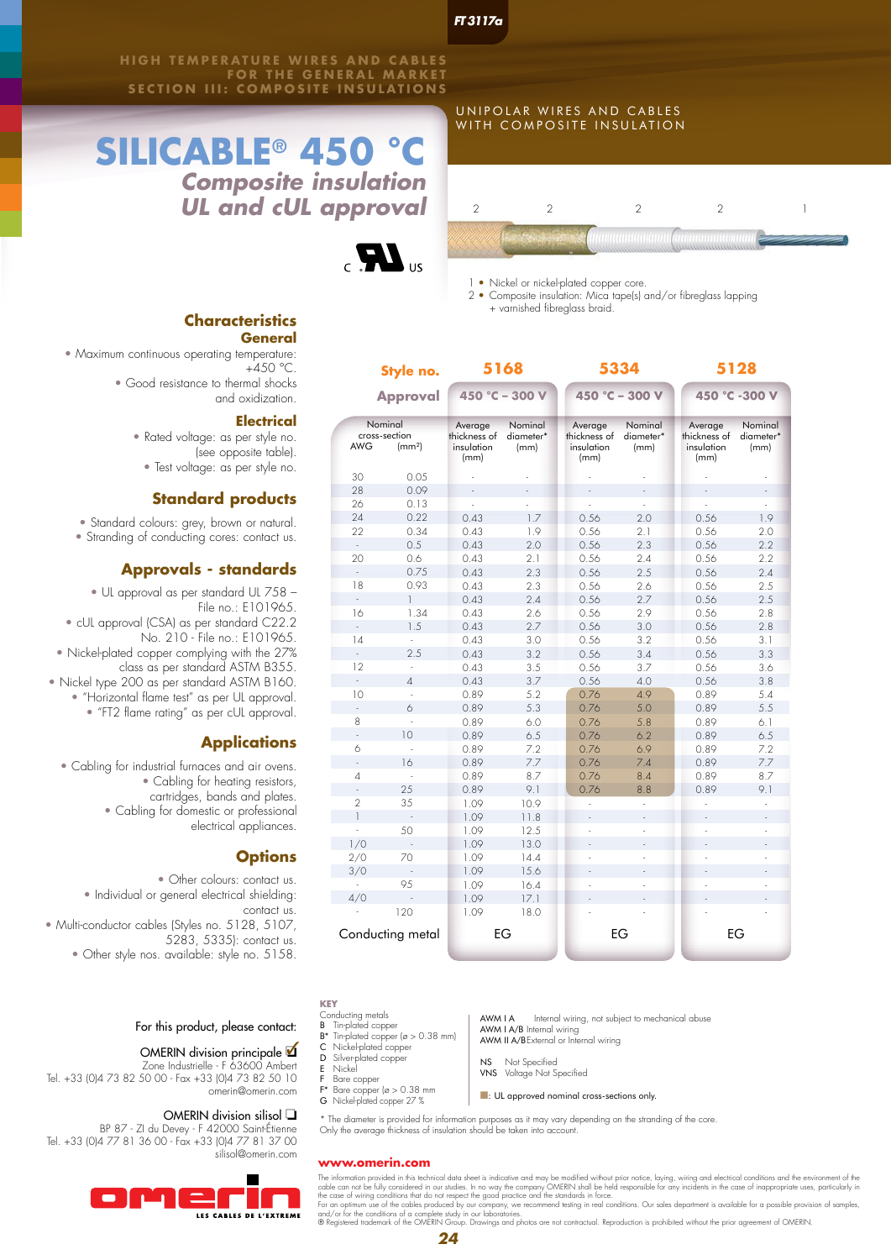**HIGH TEMPERATURE WIRES AND CABLES** OR THE GENERAL MARKET **SECTION III: COMPOSITE INSULATIONS**

# **SILICABLE®** 450 *Composite insulation UL and cUL approval*



### **Characteristics General**

• Maximum continuous operating temperature: +450 °C. • Good resistance to thermal shocks and oxidization.

**Electrical**

- Rated voltage: as per style no. (see opposite table).
- Test voltage: as per style no.

# **Standard products**

- Standard colours: grey, brown or natural.
- Stranding of conducting cores: contact us.

# **Approvals - standards**

• UL approval as per standard UL 758 – File no.: E101965. • cUL approval (CSA) as per standard C22.2 No. 210 - File no.: E101965. • Nickel-plated copper complying with the 27% class as per standard ASTM B355. • Nickel type 200 as per standard ASTM B160. • "Horizontal flame test" as per UL approval.

# • "FT2 flame rating" as per cUL approval.

## **Applications**

• Cabling for industrial furnaces and air ovens. • Cabling for heating resistors, cartridges, bands and plates. • Cabling for domestic or professional electrical appliances.

### **Options**

• Other colours: contact us. • Individual or general electrical shielding: contact us. • Multi-conductor cables (Styles no. 5128, 5107, 5283, 5335): contact us.

• Other style nos. available: style no. 5158.

For this product, please contact:

# OMERIN division principale  $\blacksquare$

Zone Industrielle - F 63600 Ambert Tel. +33 (0)4 73 82 50 00 - Fax +33 (0)4 73 82 50 10 omerin@omerin.com

# OMERIN division silisol  $\square$

BP 87 - ZI du Devey - F 42000 Saint-Étienne Tel. +33 (0)4 77 81 36 00 - Fax +33 (0)4 77 81 37 00 silisol@omerin.com



*FT 3117a*

UNIPOLAR WIRES AND CABLES WITH COMPOSITE INSULATION



1 • Nickel or nickel-plated copper core.

2 • Composite insulation: Mica tape(s) and/or fibreglass lapping + varnished fibreglass braid.

**5168 5334 5128 Style no. 450 °C – 300 V 450 °C – 300 V 450 °C -300 V Approval** Nominal Nominal Nominal Nominal Average Average Average thickness of thickness of cross-section<br>AWG (mr thickness of diameter<sup>\*</sup> diameter diameter<sup>\*</sup>  $(mm<sup>2</sup>)$ insulation (mm) insulation (mm) insulation (mm) (mm) (mm) (mm)  $30$ 0.05 - - - - - - 28 0.09 - - - - - - 26 0.13 - - - - - - 0.43 1.7 0.56 2.0 0.56 1.9 24 0.22  $0.43$ 1.9  $0.56$  $0.56$  $22$ 0.34  $2<sub>1</sub>$  $2.0$ 0.5 0.43 2.0 0.56 2.3 0.56  $2.2$ - 20 0.6 0.43 2.1 0.56 2.4 0.56 2.2 0.75 0.43 0.56 2.5 0.56 2.3  $24$ - 18 0.93 0.43 2.3 0.56 2.6 0.56 2.5 1 0.43 2.4 0.56 2.7 0.56 2.5 - 0.56 16 1.34 0.43 2.6 2.9 0.56 2.8 1.5 0.43 2.7 0.56 3.0 0.56 2.8 - 0.56 14 0.43 3.0 3.2 0.56 3.1 -  $2.5$ 0.43  $3.2$ 0.56 3.4 0.56 3.3 - 0.43 0.56 12 3.5 3.7  $0.56$ 3.6 -  $\overline{4}$ 0.43 3.7 0.56 4.0 0.56 3.8 - 10 0.89 5.2 0.76 4.9 0.89 5.4 - 6 0.89 5.3 0.76 5.0 0.89 5.5 - 8 0.89 0.76 6.0 5.8 0.89 6.1 - 10 0.89 6.5 0.76 6.2 0.89 6.5 - 0.89 7.2 0.76 6.9 0.89 7.2 6 -  $7.7$ 7.7 16 0.89 0.76 7.4 0.89 ÷. - 4 0.89 8.7 0.76 8.4 0.89 8.7 - 25 0.89 9.1 0.89 9.1  $0.76$ 8.8 - 2 35 1.09 10.9 - - - -  $1$ 1.09 11.8 - - - - - 50 1.09 12.5 - - - - -  $1/0$ 1.09 13.0 - - - - - 2/0 70 1.09 14.4 - - - - 3/0 1.09 15.6 - - - - - 95 1.09 16.4 - - - - -  $4/0$ 1.09 17.1 - - - - - 120 1.09 18.0 - - - - - Conducting metal EG EG EG EG

**KEY**

- Conducting metals<br>**B** Tin-plated copp
- $T_{\text{in-plate}}$  copper ( $\alpha > 0.38$  mm)
- **B** Tin-plated copper<br>**B**\* Tin-plated copper<br>**C** Nickel-plated cop C Nickel-plated copper
- D Silver-plated copper<br>
E Nickel<br>
F Bare copper
- E Nickel
- Bare copper
- F\* Bare copper (ø > 0.38 mm G Nickel-plated copper 27 %
- 

AWM I A Internal wiring, not subject to mechanical abuse AWM I A/B Internal wiring AWM II A/BExternal or Internal wiring

- NS Not Specified VNS Voltage Not Specified
- 

 $\blacksquare$ : UL approved nominal cross-sections only

\* The diameter is provided for information purposes as it may vary depending on the stranding of the core. Only the average thickness of insulation should be taken into account.

#### **www.omerin.com**

The information provided in this technical data sheet is indicative and may be modified without prior notice, laying, wiring and electrical conditions and the environment of the case of inappropriate uses, particularly in